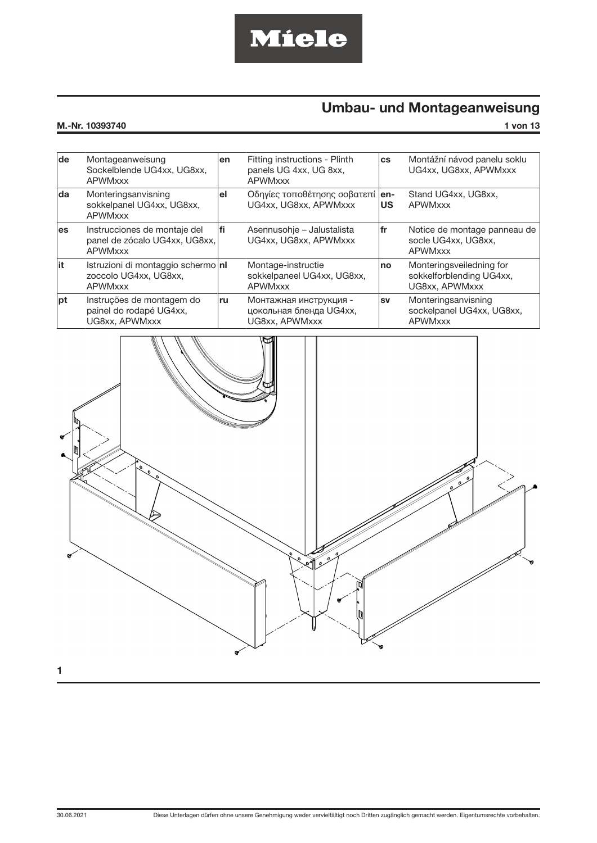# Miele

## Umbau- und Montageanweisung

| M.-Nr.<br>. | 10393740 | von |
|-------------|----------|-----|
|             |          |     |

| de        | Montageanweisung<br>Sockelblende UG4xx, UG8xx,<br><b>APWMxxx</b>                | en | Fitting instructions - Plinth<br>panels UG 4xx, UG 8xx,<br><b>APWMxxx</b> | <b>CS</b> | Montážní návod panelu soklu<br>UG4xx, UG8xx, APWMxxx                   |
|-----------|---------------------------------------------------------------------------------|----|---------------------------------------------------------------------------|-----------|------------------------------------------------------------------------|
| da        | Monteringsanvisning<br>sokkelpanel UG4xx, UG8xx,<br><b>APWMxxx</b>              | еI | Οδηγίες τοποθέτησης σοβατεπί   en-<br>UG4xx, UG8xx, APWMxxx               | <b>US</b> | Stand UG4xx, UG8xx,<br><b>APWMxxx</b>                                  |
| <b>es</b> | Instrucciones de montaje del<br>panel de zócalo UG4xx, UG8xx,<br><b>APWMxxx</b> | fi | Asennusohje – Jalustalista<br>UG4xx, UG8xx, APWMxxx                       | fr        | Notice de montage panneau de<br>socle UG4xx, UG8xx,<br><b>APWMxxx</b>  |
| it        | Istruzioni di montaggio schermo   nl<br>zoccolo UG4xx, UG8xx,<br><b>APWMxxx</b> |    | Montage-instructie<br>sokkelpaneel UG4xx, UG8xx,<br><b>APWMxxx</b>        | no        | Monteringsveiledning for<br>sokkelforblending UG4xx,<br>UG8xx. APWMxxx |
| pt        | Instruções de montagem do<br>painel do rodapé UG4xx,<br>UG8xx, APWMxxx          | ru | Монтажная инструкция -<br>цокольная бленда UG4xx,<br>UG8xx, APWMxxx       | <b>SV</b> | Monteringsanvisning<br>sockelpanel UG4xx, UG8xx,<br><b>APWMxxx</b>     |

<span id="page-0-0"></span>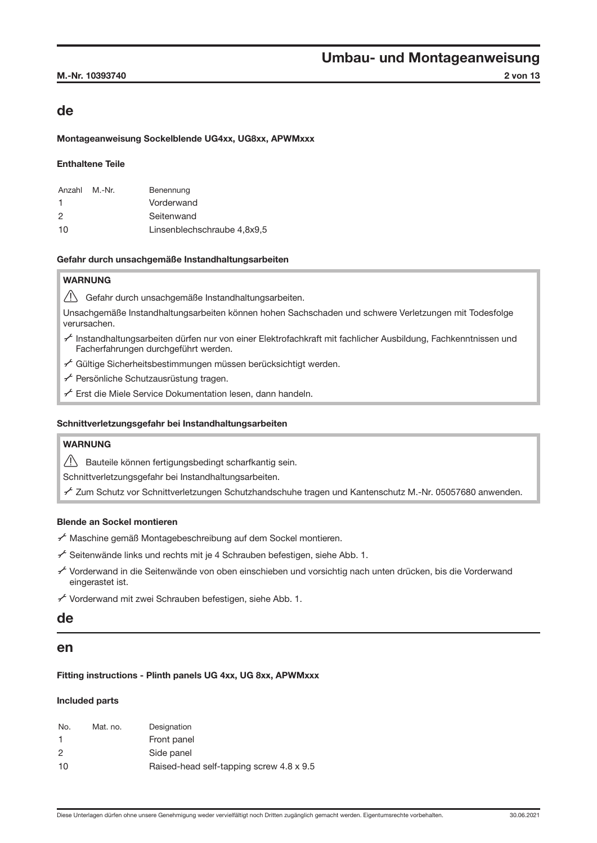### de

#### Montageanweisung Sockelblende UG4xx, UG8xx, APWMxxx

### Enthaltene Teile

| Anzahl | M.-Nr. | Benennung                   |
|--------|--------|-----------------------------|
| -1     |        | Vorderwand                  |
| 2      |        | Seitenwand                  |
| 10     |        | Linsenblechschraube 4,8x9,5 |

#### Gefahr durch unsachgemäße Instandhaltungsarbeiten

### WARNUNG

Gefahr durch unsachgemäße Instandhaltungsarbeiten.

Unsachgemäße Instandhaltungsarbeiten können hohen Sachschaden und schwere Verletzungen mit Todesfolge verursachen.

- A Instandhaltungsarbeiten dürfen nur von einer Elektrofachkraft mit fachlicher Ausbildung, Fachkenntnissen und Facherfahrungen durchgeführt werden.
- $f$  Gültige Sicherheitsbestimmungen müssen berücksichtigt werden.
- A Persönliche Schutzausrüstung tragen.
- $f$  Erst die Miele Service Dokumentation lesen, dann handeln.

#### Schnittverletzungsgefahr bei Instandhaltungsarbeiten

### WARNUNG

Bauteile können fertigungsbedingt scharfkantig sein.

Schnittverletzungsgefahr bei Instandhaltungsarbeiten.

A Zum Schutz vor Schnittverletzungen Schutzhandschuhe tragen und Kantenschutz M.-Nr. 05057680 anwenden.

### Blende an Sockel montieren

A Maschine gemäß Montagebeschreibung auf dem Sockel montieren.

- $f$  Seitenwände links und rechts mit je 4 Schrauben befestigen, siehe Abb. [1.](#page-0-0)
- A Vorderwand in die Seitenwände von oben einschieben und vorsichtig nach unten drücken, bis die Vorderwand eingerastet ist.

A Vorderwand mit zwei Schrauben befestigen, siehe Abb. [1.](#page-0-0)

### de

### en

### Fitting instructions - Plinth panels UG 4xx, UG 8xx, APWMxxx

#### Included parts

| Mat. no. | Designation                              |
|----------|------------------------------------------|
|          | Front panel                              |
|          | Side panel                               |
|          | Raised-head self-tapping screw 4.8 x 9.5 |
|          |                                          |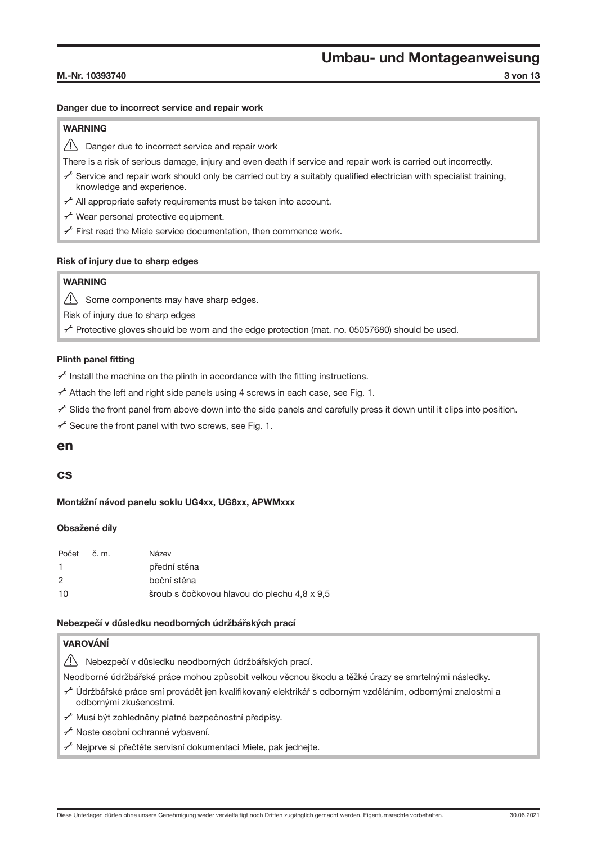#### M.-Nr. 10393740 3 von 13

### Danger due to incorrect service and repair work

### WARNING

 $\sqrt{N}$  Danger due to incorrect service and repair work

There is a risk of serious damage, injury and even death if service and repair work is carried out incorrectly.

- $\sim$  Service and repair work should only be carried out by a suitably qualified electrician with specialist training, knowledge and experience.
- $f$  All appropriate safety requirements must be taken into account.
- $f$  Wear personal protective equipment.
- $f$  First read the Miele service documentation, then commence work.

### Risk of injury due to sharp edges

### **WARNING**

 $\sqrt{!}$  Some components may have sharp edges.

Risk of injury due to sharp edges

 $\sim$  Protective gloves should be worn and the edge protection (mat. no. 05057680) should be used.

### Plinth panel fitting

 $f$  Install the machine on the plinth in accordance with the fitting instructions.

 $f$  Attach the left and right side panels using 4 screws in each case, see Fig. [1](#page-0-0).

- $\sim$  Slide the front panel from above down into the side panels and carefully press it down until it clips into position.
- $f$  Secure the front panel with two screws, see Fig. [1.](#page-0-0)

### en

### cs

### Montážní návod panelu soklu UG4xx, UG8xx, APWMxxx

### Obsažené díly

| Počet | č. m. | Název                                       |
|-------|-------|---------------------------------------------|
| -1    |       | přední stěna                                |
| 2     |       | boční stěna                                 |
| 10    |       | šroub s čočkovou hlavou do plechu 4,8 x 9,5 |

### Nebezpečí v důsledku neodborných údržbářských prací

### VAROVÁNÍ

 $\sqrt{!}$  Nebezpečí v důsledku neodborných údržbářských prací.

Neodborné údržbářské práce mohou způsobit velkou věcnou škodu a těžké úrazy se smrtelnými následky.

- A Údržbářské práce smí provádět jen kvalifikovaný elektrikář s odborným vzděláním, odbornými znalostmi a odbornými zkušenostmi.
- A Musí být zohledněny platné bezpečnostní předpisy.
- A Noste osobní ochranné vybavení.
- $\mathcal{F}$  Nejprve si přečtěte servisní dokumentaci Miele, pak jednejte.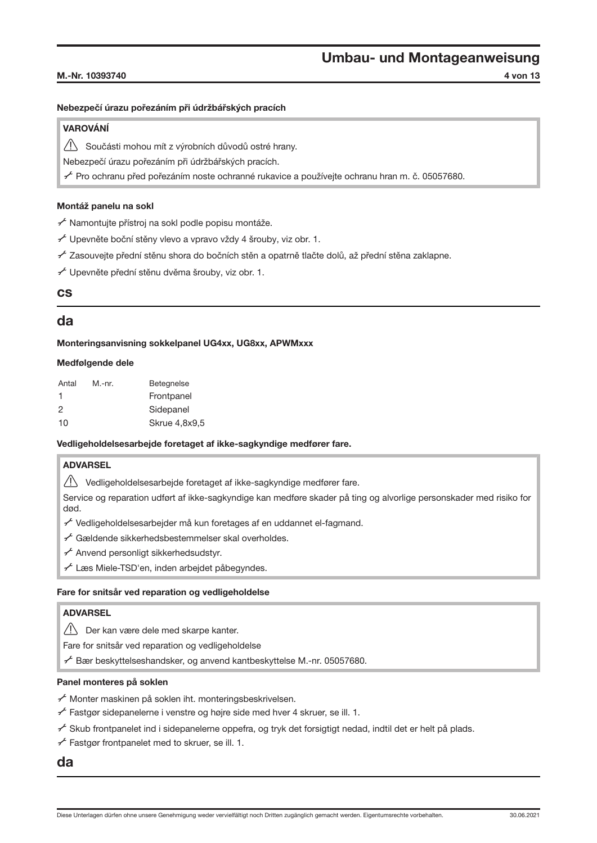#### M.-Nr. 10393740 4 von 13

#### Nebezpečí úrazu pořezáním při údržbářských pracích

### VAROVÁNÍ

Součásti mohou mít z výrobních důvodů ostré hrany.

Nebezpečí úrazu pořezáním při údržbářských pracích.

A Pro ochranu před pořezáním noste ochranné rukavice a používejte ochranu hran m. č. 05057680.

### Montáž panelu na sokl

A Namontujte přístroj na sokl podle popisu montáže.

A Upevněte boční stěny vlevo a vpravo vždy 4 šrouby, viz obr. [1](#page-0-0).

 $\mathcal{F}$  Zasouvejte přední stěnu shora do bočních stěn a opatrně tlačte dolů, až přední stěna zaklapne.

A Upevněte přední stěnu dvěma šrouby, viz obr. [1](#page-0-0).

### cs

### da

Monteringsanvisning sokkelpanel UG4xx, UG8xx, APWMxxx

#### Medfølgende dele

| Antal | M.-nr. | <b>Betegnelse</b> |
|-------|--------|-------------------|
| 1     |        | Frontpanel        |
| 2     |        | Sidepanel         |
| 10    |        | Skrue 4,8x9,5     |

#### Vedligeholdelsesarbejde foretaget af ikke-sagkyndige medfører fare.

### ADVARSEL

 $\sqrt{!}$  Vedligeholdelsesarbejde foretaget af ikke-sagkyndige medfører fare.

Service og reparation udført af ikke-sagkyndige kan medføre skader på ting og alvorlige personskader med risiko for død.

A Vedligeholdelsesarbejder må kun foretages af en uddannet el-fagmand.

- $f$  Gældende sikkerhedsbestemmelser skal overholdes.
- $f$  Anvend personligt sikkerhedsudstyr.
- A Læs Miele-TSD'en, inden arbejdet påbegyndes.

#### Fare for snitsår ved reparation og vedligeholdelse

### ADVARSEL

**Der kan være dele med skarpe kanter.** 

Fare for snitsår ved reparation og vedligeholdelse

A Bær beskyttelseshandsker, og anvend kantbeskyttelse M.-nr. 05057680.

#### Panel monteres på soklen

A Monter maskinen på soklen iht. monteringsbeskrivelsen.

- $f$  Fastgør sidepanelerne i venstre og højre side med hver 4 skruer, se ill. [1.](#page-0-0)
- A Skub frontpanelet ind i sidepanelerne oppefra, og tryk det forsigtigt nedad, indtil det er helt på plads.

 $f$  Fastgør frontpanelet med to skruer, se ill. [1](#page-0-0).

### da

Diese Unterlagen dürfen ohne unsere Genehmigung weder vervielfältigt noch Dritten zugänglich gemacht werden. Eigentumsrechte vorbehalten. 30.06.2021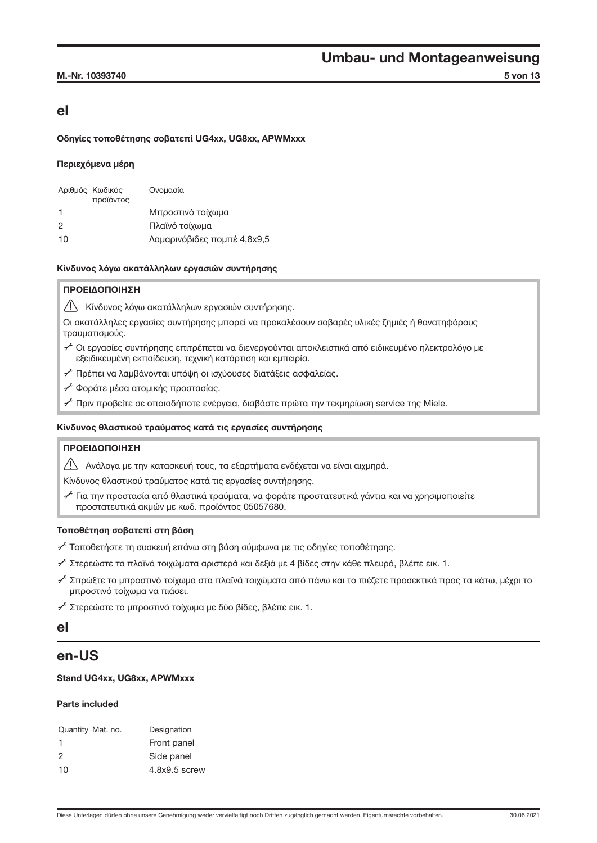### M.-Nr. 10393740 5 von 13

### el

### Οδηγίες τοποθέτησης σοβατεπί UG4xx, UG8xx, APWMxxx

### Περιεχόμενα μέρη

|              | Αριθμός Κωδικός<br>προϊόντος | Ονομασία                    |
|--------------|------------------------------|-----------------------------|
| $\mathbf{1}$ |                              | Μπροστινό τοίχωμα           |
| 2            |                              | Πλαϊνό τοίχωμα              |
| 10           |                              | Λαμαρινόβιδες πομπέ 4,8x9,5 |

### Κίνδυνος λόγω ακατάλληλων εργασιών συντήρησης

### ΠΡΟΕΙΔΟΠΟΙΗΣΗ

Κίνδυνος λόγω ακατάλληλων εργασιών συντήρησης.

Οι ακατάλληλες εργασίες συντήρησης μπορεί να προκαλέσουν σοβαρές υλικές ζημιές ή θανατηφόρους τραυματισμούς.

- A Οι εργασίες συντήρησης επιτρέπεται να διενεργούνται αποκλειστικά από ειδικευμένο ηλεκτρολόγο με εξειδικευμένη εκπαίδευση, τεχνική κατάρτιση και εμπειρία.
- A Πρέπει να λαμβάνονται υπόψη οι ισχύουσες διατάξεις ασφαλείας.
- A Φοράτε μέσα ατομικής προστασίας.
- $\sim$  Πριν προβείτε σε οποιαδήποτε ενέρνεια, διαβάστε πρώτα την τεκμηρίωση service της Miele.

### Κίνδυνος θλαστικού τραύματος κατά τις εργασίες συντήρησης

### ΠΡΟΕΙΔΟΠΟΙΗΣΗ

Ανάλογα με την κατασκευή τους, τα εξαρτήματα ενδέχεται να είναι αιχμηρά.

Κίνδυνος θλαστικού τραύματος κατά τις εργασίες συντήρησης.

 $\check{\mathscr{S}}$  Για την προστασία από θλαστικά τραύματα, να φοράτε προστατευτικά γάντια και να χρησιμοποιείτε προστατευτικά ακμών με κωδ. προϊόντος 05057680.

### Τοποθέτηση σοβατεπί στη βάση

A Τοποθετήστε τη συσκευή επάνω στη βάση σύμφωνα με τις οδηγίες τοποθέτησης.

- A Στερεώστε τα πλαϊνά τοιχώματα αριστερά και δεξιά με 4 βίδες στην κάθε πλευρά, βλέπε εικ. [1](#page-0-0).
- A Σπρώξτε το μπροστινό τοίχωμα στα πλαϊνά τοιχώματα από πάνω και το πιέζετε προσεκτικά προς τα κάτω, μέχρι το μπροστινό τοίχωμα να πιάσει.

A Στερεώστε το μπροστινό τοίχωμα με δύο βίδες, βλέπε εικ. [1.](#page-0-0)

### el

### en-US

### Stand UG4xx, UG8xx, APWMxxx

### Parts included

| Quantity Mat. no. | Designation     |
|-------------------|-----------------|
| 1                 | Front panel     |
| 2                 | Side panel      |
| 10                | $4.8x9.5$ screw |
|                   |                 |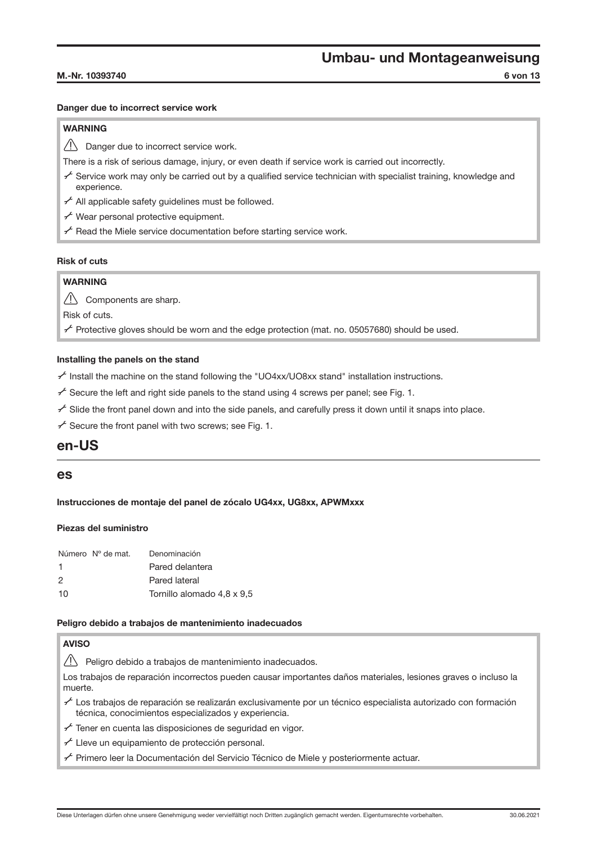#### M.-Nr. 10393740 6 von 13

#### Danger due to incorrect service work

### WARNING

 $\bigwedge$  Danger due to incorrect service work.

There is a risk of serious damage, injury, or even death if service work is carried out incorrectly.

- $\sim$  Service work may only be carried out by a qualified service technician with specialist training, knowledge and experience.
- $f$  All applicable safety guidelines must be followed.
- $f$  Wear personal protective equipment.
- $f$  Read the Miele service documentation before starting service work.

### Risk of cuts

### **WARNING**

 $\bigwedge$  Components are sharp.

Risk of cuts.

 $\neq$  Protective gloves should be worn and the edge protection (mat. no. 05057680) should be used.

#### Installing the panels on the stand

 $\sim$  Install the machine on the stand following the "UO4xx/UO8xx stand" installation instructions.

 $\checkmark$  Secure the left and right side panels to the stand using 4 screws per panel; see Fig. [1](#page-0-0).

 $\sim$  Slide the front panel down and into the side panels, and carefully press it down until it snaps into place.

 $f$  Secure the front panel with two screws; see Fig. [1.](#page-0-0)

### en-US

### es

Instrucciones de montaje del panel de zócalo UG4xx, UG8xx, APWMxxx

#### Piezas del suministro

|    | Número Nº de mat. | Denominación               |
|----|-------------------|----------------------------|
| -1 |                   | Pared delantera            |
| 2  |                   | Pared lateral              |
| 10 |                   | Tornillo alomado 4,8 x 9,5 |

#### Peligro debido a trabajos de mantenimiento inadecuados

### **AVISO**

 $\sqrt{!}$  Peligro debido a trabajos de mantenimiento inadecuados.

Los trabajos de reparación incorrectos pueden causar importantes daños materiales, lesiones graves o incluso la muerte.

- $\sim$  Los trabajos de reparación se realizarán exclusivamente por un técnico especialista autorizado con formación técnica, conocimientos especializados y experiencia.
- $f$  Tener en cuenta las disposiciones de seguridad en vigor.
- $f$  Lleve un equipamiento de protección personal.
- A Primero leer la Documentación del Servicio Técnico de Miele y posteriormente actuar.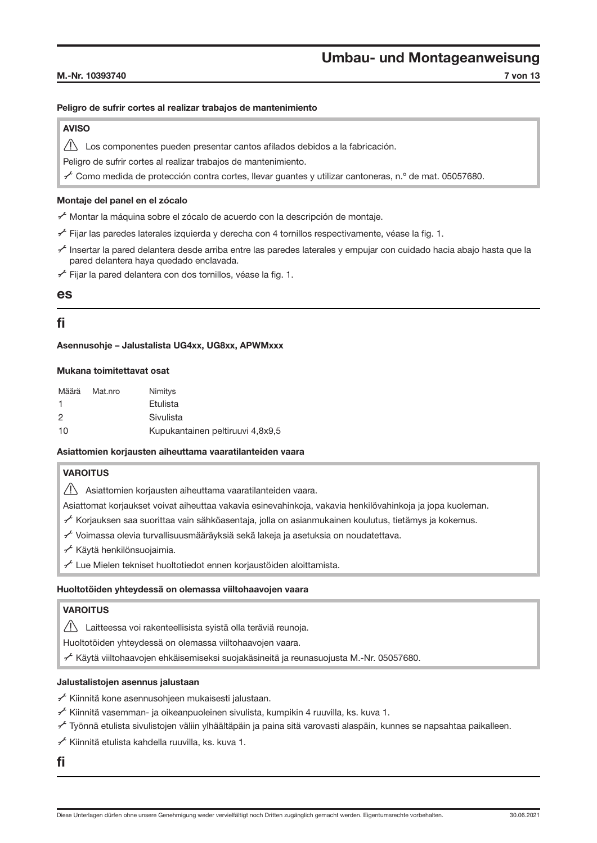#### M.-Nr. 10393740 7 von 13

### Peligro de sufrir cortes al realizar trabajos de mantenimiento

### AVISO

Los componentes pueden presentar cantos afilados debidos a la fabricación.

Peligro de sufrir cortes al realizar trabajos de mantenimiento.

 $\sim$  Como medida de protección contra cortes, llevar guantes y utilizar cantoneras, n.º de mat. 05057680.

### Montaje del panel en el zócalo

A Montar la máquina sobre el zócalo de acuerdo con la descripción de montaje.

- $\neq$  Fijar las paredes laterales izquierda y derecha con 4 tornillos respectivamente, véase la fig. [1](#page-0-0).
- $\sim$  Insertar la pared delantera desde arriba entre las paredes laterales y empujar con cuidado hacia abajo hasta que la pared delantera haya quedado enclavada.
- $f$  Fijar la pared delantera con dos tornillos, véase la fig. [1](#page-0-0).

### es

### fi

Asennusohje – Jalustalista UG4xx, UG8xx, APWMxxx

### Mukana toimitettavat osat

| Määrä | Mat.nro | Nimitys                          |
|-------|---------|----------------------------------|
| -1    |         | Etulista                         |
| 2     |         | Sivulista                        |
| 10    |         | Kupukantainen peltiruuvi 4,8x9,5 |

### Asiattomien korjausten aiheuttama vaaratilanteiden vaara

### **VAROITUS**

 $\sqrt{!}$  Asiattomien korjausten aiheuttama vaaratilanteiden vaara.

Asiattomat korjaukset voivat aiheuttaa vakavia esinevahinkoja, vakavia henkilövahinkoja ja jopa kuoleman.

A Korjauksen saa suorittaa vain sähköasentaja, jolla on asianmukainen koulutus, tietämys ja kokemus.

- $f$  Voimassa olevia turvallisuusmääräyksiä sekä lakeja ja asetuksia on noudatettava.
- A Käytä henkilönsuojaimia.
- $f$  Lue Mielen tekniset huoltotiedot ennen korjaustöiden aloittamista.

### Huoltotöiden yhteydessä on olemassa viiltohaavojen vaara

### VAROITUS

Laitteessa voi rakenteellisista syistä olla teräviä reunoja.

Huoltotöiden yhteydessä on olemassa viiltohaavojen vaara.

 $\sim$  Käytä viiltohaavojen ehkäisemiseksi suojakäsineitä ja reunasuojusta M.-Nr. 05057680.

### Jalustalistojen asennus jalustaan

- $\overline{f}$  Kiinnitä kone asennusohjeen mukaisesti jalustaan.
- $f$  Kiinnitä vasemman- ja oikeanpuoleinen sivulista, kumpikin 4 ruuvilla, ks. kuva [1.](#page-0-0)
- A Työnnä etulista sivulistojen väliin ylhäältäpäin ja paina sitä varovasti alaspäin, kunnes se napsahtaa paikalleen.

A Kiinnitä etulista kahdella ruuvilla, ks. kuva [1.](#page-0-0)

fi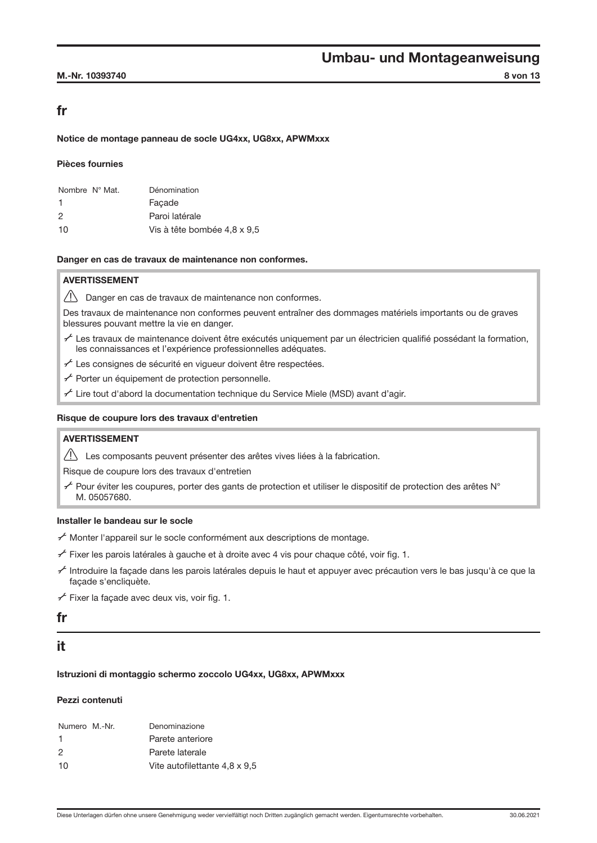### M.-Nr. 10393740 8 von 13

### fr

### Notice de montage panneau de socle UG4xx, UG8xx, APWMxxx

#### Pièces fournies

| Nombre $N^{\circ}$ Mat. | Dénomination                |
|-------------------------|-----------------------------|
| -1                      | Facade                      |
| 2                       | Paroi latérale              |
| 10                      | Vis à tête bombée 4,8 x 9,5 |

#### Danger en cas de travaux de maintenance non conformes.

### AVERTISSEMENT

 $\sqrt{!}$  Danger en cas de travaux de maintenance non conformes.

Des travaux de maintenance non conformes peuvent entraîner des dommages matériels importants ou de graves blessures pouvant mettre la vie en danger.

- A Les travaux de maintenance doivent être exécutés uniquement par un électricien qualifié possédant la formation, les connaissances et l'expérience professionnelles adéquates.
- $f$  Les consignes de sécurité en vigueur doivent être respectées.
- $f$  Porter un équipement de protection personnelle.
- $f$  Lire tout d'abord la documentation technique du Service Miele (MSD) avant d'agir.

#### Risque de coupure lors des travaux d'entretien

### AVERTISSEMENT

 $\triangle$  Les composants peuvent présenter des arêtes vives liées à la fabrication.

Risque de coupure lors des travaux d'entretien

A Pour éviter les coupures, porter des gants de protection et utiliser le dispositif de protection des arêtes N° M. 05057680.

### Installer le bandeau sur le socle

- A Monter l'appareil sur le socle conformément aux descriptions de montage.
- $\neq$  Fixer les parois latérales à gauche et à droite avec 4 vis pour chaque côté, voir fig. [1](#page-0-0).
- A Introduire la façade dans les parois latérales depuis le haut et appuyer avec précaution vers le bas jusqu'à ce que la façade s'encliquète.
- $f$  Fixer la facade avec deux vis, voir fig. [1](#page-0-0).

### fr

### it

### Istruzioni di montaggio schermo zoccolo UG4xx, UG8xx, APWMxxx

#### Pezzi contenuti

| Numero M.-Nr. | Denominazione                 |
|---------------|-------------------------------|
| -1            | Parete anteriore              |
| 2             | Parete laterale               |
| 10            | Vite autofilettante 4,8 x 9,5 |
|               |                               |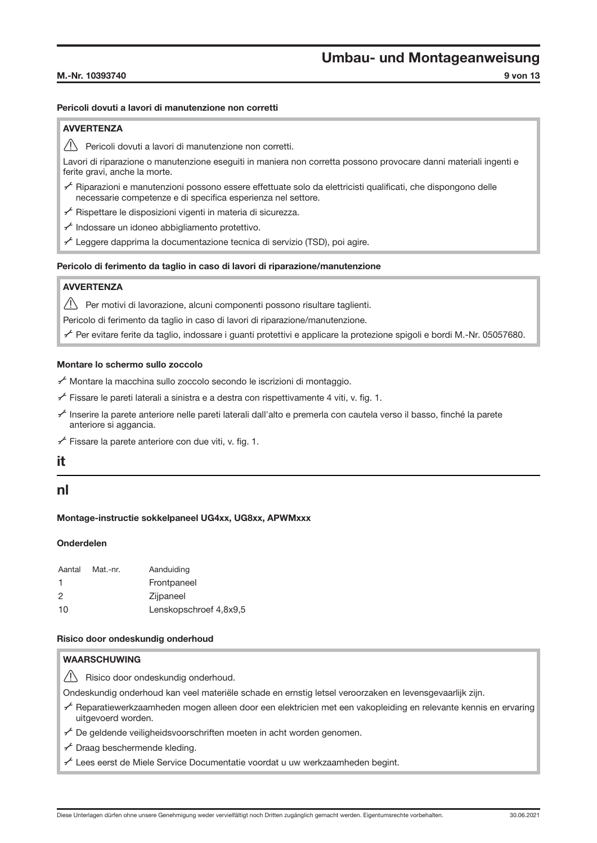#### M.-Nr. 10393740 9 von 13

### Pericoli dovuti a lavori di manutenzione non corretti

### **AVVERTENZA**

 $\sqrt{N}$  Pericoli dovuti a lavori di manutenzione non corretti.

Lavori di riparazione o manutenzione eseguiti in maniera non corretta possono provocare danni materiali ingenti e ferite gravi, anche la morte.

- A Riparazioni e manutenzioni possono essere effettuate solo da elettricisti qualificati, che dispongono delle necessarie competenze e di specifica esperienza nel settore.
- $f$  Rispettare le disposizioni vigenti in materia di sicurezza.
- $f$  Indossare un idoneo abbigliamento protettivo.
- $f$  Leggere dapprima la documentazione tecnica di servizio (TSD), poi agire.

### Pericolo di ferimento da taglio in caso di lavori di riparazione/manutenzione

### **AVVERTENZA**

Per motivi di lavorazione, alcuni componenti possono risultare taglienti.

Pericolo di ferimento da taglio in caso di lavori di riparazione/manutenzione.

A Per evitare ferite da taglio, indossare i guanti protettivi e applicare la protezione spigoli e bordi M.-Nr. 05057680.

### Montare lo schermo sullo zoccolo

 $\sim$  Montare la macchina sullo zoccolo secondo le iscrizioni di montaggio.

 $f$  Fissare le pareti laterali a sinistra e a destra con rispettivamente 4 viti, v. fig. [1.](#page-0-0)

- A Inserire la parete anteriore nelle pareti laterali dall'alto e premerla con cautela verso il basso, finché la parete anteriore si aggancia.
- $f$  Fissare la parete anteriore con due viti, v. fig. [1](#page-0-0).

### it

### nl

#### Montage-instructie sokkelpaneel UG4xx, UG8xx, APWMxxx

### Onderdelen

| Aantal | Mat.-nr. | Aanduiding             |
|--------|----------|------------------------|
| -1     |          | Frontpaneel            |
| 2      |          | Zijpaneel              |
| 10     |          | Lenskopschroef 4,8x9,5 |

#### Risico door ondeskundig onderhoud

### **WAARSCHUWING**

 $\sqrt{!}$  Risico door ondeskundig onderhoud.

Ondeskundig onderhoud kan veel materiële schade en ernstig letsel veroorzaken en levensgevaarlijk zijn.

- A Reparatiewerkzaamheden mogen alleen door een elektricien met een vakopleiding en relevante kennis en ervaring uitgevoerd worden.
- $f$  De geldende veiligheidsvoorschriften moeten in acht worden genomen.
- $f$  Draag beschermende kleding.
- A Lees eerst de Miele Service Documentatie voordat u uw werkzaamheden begint.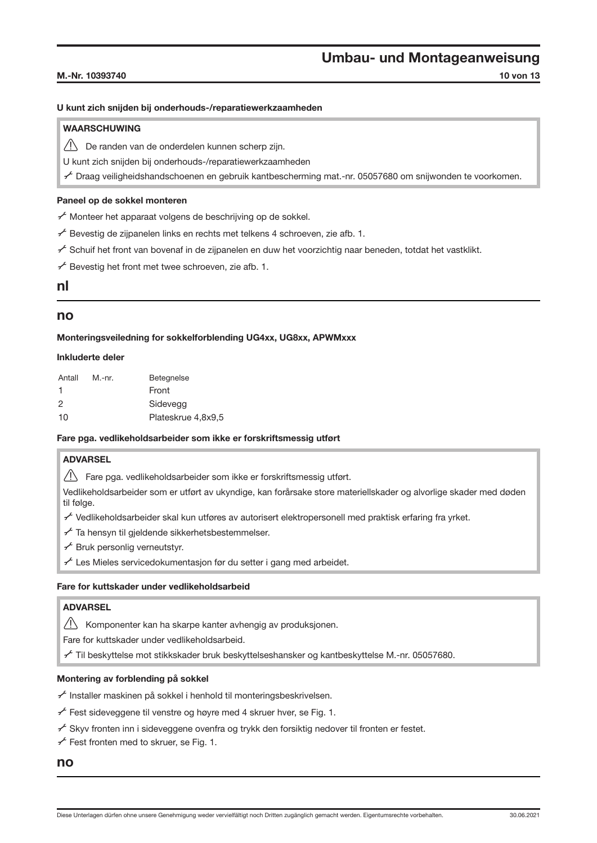#### M.-Nr. 10393740 **10 von 13**

#### U kunt zich snijden bij onderhouds-/reparatiewerkzaamheden

### **WAARSCHUWING**

 $\sqrt{N}$  De randen van de onderdelen kunnen scherp zijn.

U kunt zich snijden bij onderhouds-/reparatiewerkzaamheden

A Draag veiligheidshandschoenen en gebruik kantbescherming mat.-nr. 05057680 om snijwonden te voorkomen.

#### Paneel op de sokkel monteren

A Monteer het apparaat volgens de beschrijving op de sokkel.

 $\overline{f}$  Bevestig de zijpanelen links en rechts met telkens 4 schroeven, zie afb. [1.](#page-0-0)

A Schuif het front van bovenaf in de zijpanelen en duw het voorzichtig naar beneden, totdat het vastklikt.

 $f$  Bevestig het front met twee schroeven, zie afb. [1.](#page-0-0)

### nl

### no

Monteringsveiledning for sokkelforblending UG4xx, UG8xx, APWMxxx

#### Inkluderte deler

| Antall | M.-nr. | <b>Betegnelse</b>  |
|--------|--------|--------------------|
| 1      |        | Front              |
| 2      |        | Sidevegg           |
| 10     |        | Plateskrue 4.8x9.5 |

#### Fare pga. vedlikeholdsarbeider som ikke er forskriftsmessig utført

### ADVARSEL

 $\sqrt{N}$  Fare pga. vedlikeholdsarbeider som ikke er forskriftsmessig utført.

Vedlikeholdsarbeider som er utført av ukyndige, kan forårsake store materiellskader og alvorlige skader med døden til følge.

- A Vedlikeholdsarbeider skal kun utføres av autorisert elektropersonell med praktisk erfaring fra yrket.
- $f$  Ta hensyn til gjeldende sikkerhetsbestemmelser.
- $f$  Bruk personlig verneutstyr.
- $f$  Les Mieles servicedokumentasion før du setter i gang med arbeidet.

### Fare for kuttskader under vedlikeholdsarbeid

### ADVARSEL

Komponenter kan ha skarpe kanter avhengig av produksjonen.

Fare for kuttskader under vedlikeholdsarbeid.

A Til beskyttelse mot stikkskader bruk beskyttelseshansker og kantbeskyttelse M.-nr. 05057680.

#### Montering av forblending på sokkel

A Installer maskinen på sokkel i henhold til monteringsbeskrivelsen.

 $f$  Fest sideveggene til venstre og høyre med 4 skruer hver, se Fig. [1.](#page-0-0)

 $\mathcal F$  Skyv fronten inn i sideveggene ovenfra og trykk den forsiktig nedover til fronten er festet.

 $f$  Fest fronten med to skruer, se Fig. [1](#page-0-0).

### no

Diese Unterlagen dürfen ohne unsere Genehmigung weder vervielfältigt noch Dritten zugänglich gemacht werden. Eigentumsrechte vorbehalten. 30.06.2021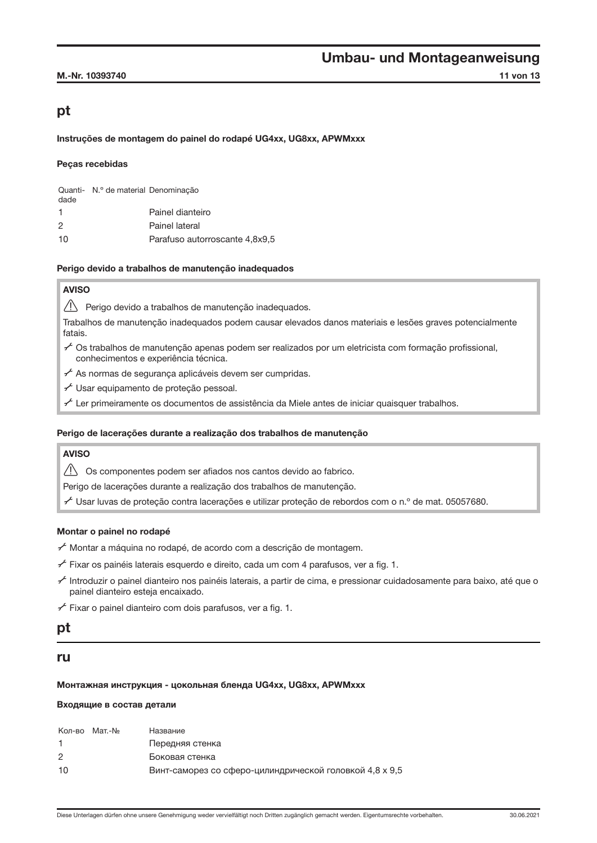### pt

Instruções de montagem do painel do rodapé UG4xx, UG8xx, APWMxxx

### Peças recebidas

| dade | Quanti- N.º de material Denominação |                                |
|------|-------------------------------------|--------------------------------|
| 1    |                                     | Painel dianteiro               |
| 2    |                                     | Painel lateral                 |
| 10   |                                     | Parafuso autorroscante 4.8x9.5 |

#### Perigo devido a trabalhos de manutenção inadequados

### AVISO

Perigo devido a trabalhos de manutenção inadequados.

Trabalhos de manutenção inadequados podem causar elevados danos materiais e lesões graves potencialmente fatais.

- $\sim$  Os trabalhos de manutenção apenas podem ser realizados por um eletricista com formação profissional, conhecimentos e experiência técnica.
- $f$  As normas de segurança aplicáveis devem ser cumpridas.
- A Usar equipamento de proteção pessoal.
- $\sim$  Ler primeiramente os documentos de assistência da Miele antes de iniciar quaisquer trabalhos.

### Perigo de lacerações durante a realização dos trabalhos de manutenção

### AVISO

 $\triangle$  Os componentes podem ser afiados nos cantos devido ao fabrico.

Perigo de lacerações durante a realização dos trabalhos de manutenção.

A Usar luvas de proteção contra lacerações e utilizar proteção de rebordos com o n.º de mat. 05057680.

### Montar o painel no rodapé

A Montar a máquina no rodapé, de acordo com a descrição de montagem.

- $f$  Fixar os painéis laterais esquerdo e direito, cada um com 4 parafusos, ver a fig. [1](#page-0-0).
- A Introduzir o painel dianteiro nos painéis laterais, a partir de cima, e pressionar cuidadosamente para baixo, até que o painel dianteiro esteja encaixado.

 $f$  Fixar o painel dianteiro com dois parafusos, ver a fig. [1](#page-0-0).

### pt

### ru

### Монтажная инструкция - цокольная бленда UG4xx, UG8xx, APWMxxx

#### Входящие в состав детали

| Винт-саморез со сферо-цилиндрической головкой 4,8 х 9,5 |
|---------------------------------------------------------|
|                                                         |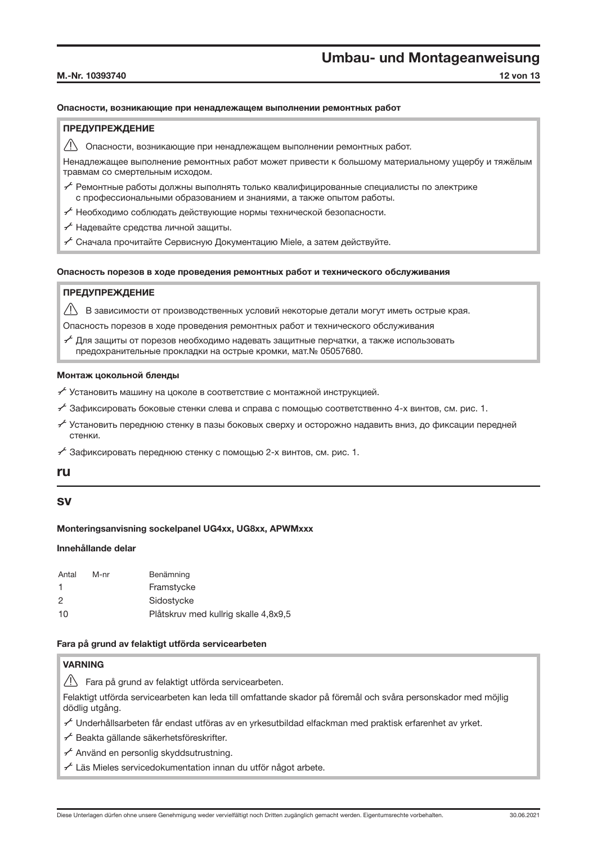#### M.-Nr. 10393740 12 von 13

### Опасности, возникающие при ненадлежащем выполнении ремонтных работ

### ПРЕДУПРЕЖДЕНИЕ

Опасности, возникающие при ненадлежащем выполнении ремонтных работ.

Ненадлежащее выполнение ремонтных работ может привести к большому материальному ущербу и тяжёлым травмам со смертельным исходом.

- $\mathcal F$  Ремонтные работы должны выполнять только квалифицированные специалисты по электрике с профессиональными образованием и знаниями, а также опытом работы.
- $f^{\mathcal{L}}$  Необходимо соблюдать действующие нормы технической безопасности.
- A Надевайте средства личной защиты.
- $f$  Сначала прочитайте Сервисную Документацию Miele, а затем действуйте.

### Опасность порезов в ходе проведения ремонтных работ и технического обслуживания

### ПРЕДУПРЕЖДЕНИЕ

В зависимости от производственных условий некоторые детали могут иметь острые края.

Опасность порезов в ходе проведения ремонтных работ и технического обслуживания

 $\mathcal F$  Для защиты от порезов необходимо надевать защитные перчатки, а также использовать предохранительные прокладки на острые кромки, мат.№ 05057680.

### Монтаж цокольной бленды

- $\overline{f}$  Установить машину на цоколе в соответствие с монтажной инструкцией.
- $\neq$  Зафиксировать боковые стенки слева и справа с помощью соответственно 4-х винтов, см. рис. [1](#page-0-0).
- $\chi$  Установить переднюю стенку в пазы боковых сверху и осторожно надавить вниз, до фиксации передней стенки.
- $A^2$  Зафиксировать переднюю стенку с помощью 2-х винтов, см. рис. [1](#page-0-0).

### ru

### sv

### Monteringsanvisning sockelpanel UG4xx, UG8xx, APWMxxx

### Innehållande delar

| Antal                | M-nr | Benämning                            |
|----------------------|------|--------------------------------------|
| $\blacktriangleleft$ |      | Framstycke                           |
| 2                    |      | Sidostycke                           |
| 10                   |      | Plåtskruv med kullrig skalle 4,8x9,5 |

### Fara på grund av felaktigt utförda servicearbeten

### VARNING

 $\sqrt{!}$  Fara på grund av felaktigt utförda servicearbeten.

Felaktigt utförda servicearbeten kan leda till omfattande skador på föremål och svåra personskador med möjlig dödlig utgång.

- A Underhållsarbeten får endast utföras av en yrkesutbildad elfackman med praktisk erfarenhet av yrket.
- A Beakta gällande säkerhetsföreskrifter.
- A Använd en personlig skyddsutrustning.
- $f$  Läs Mieles servicedokumentation innan du utför något arbete.